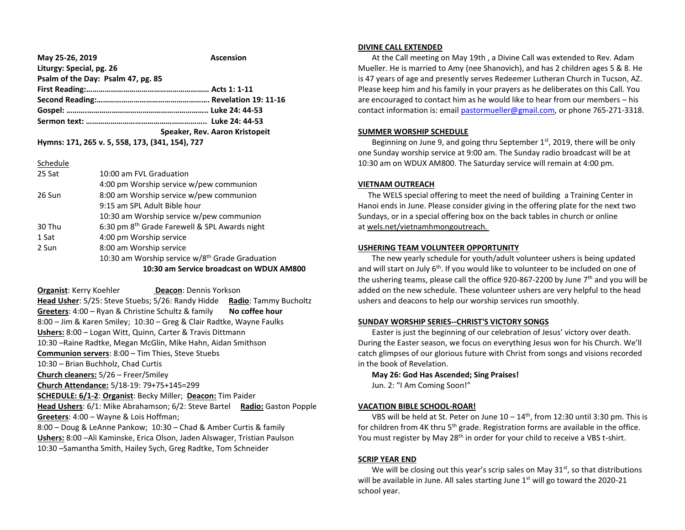| May 25-26, 2019                    | <b>Ascension</b>               |
|------------------------------------|--------------------------------|
| Liturgy: Special, pg. 26           |                                |
| Psalm of the Day: Psalm 47, pg. 85 |                                |
|                                    |                                |
|                                    |                                |
|                                    |                                |
|                                    |                                |
|                                    | Speaker, Rev. Aaron Kristopeit |

**Hymns: 171, 265 v. 5, 558, 173, (341, 154), 727**

| 25 Sat | 10:00 am FVL Graduation                                     |
|--------|-------------------------------------------------------------|
|        | 4:00 pm Worship service w/pew communion                     |
| 26 Sun | 8:00 am Worship service w/pew communion                     |
|        | 9:15 am SPL Adult Bible hour                                |
|        | 10:30 am Worship service w/pew communion                    |
| 30 Thu | 6:30 pm 8 <sup>th</sup> Grade Farewell & SPL Awards night   |
| 1 Sat  | 4:00 pm Worship service                                     |
| 2 Sun  | 8:00 am Worship service                                     |
|        | 10:30 am Worship service w/8 <sup>th</sup> Grade Graduation |
|        | 10:30 am Service broadcast on WDUX AM800                    |

**Organist: Kerry Koehler <b>Deacon**: Dennis Yorkson **Head Usher**: 5/25: Steve Stuebs; 5/26: Randy Hidde **Radio**: Tammy Bucholtz **Greeters**: 4:00 – Ryan & Christine Schultz & family **No coffee hour** 8:00 – Jim & Karen Smiley; 10:30 – Greg & Clair Radtke, Wayne Faulks **Ushers:** 8:00 – Logan Witt, Quinn, Carter & Travis Dittmann 10:30 –Raine Radtke, Megan McGlin, Mike Hahn, Aidan Smithson **Communion servers**: 8:00 – Tim Thies, Steve Stuebs 10:30 – Brian Buchholz, Chad Curtis **Church cleaners:** 5/26 – Freer/Smiley **Church Attendance:** 5/18-19: 79+75+145=299 **SCHEDULE: 6/1-2**: **Organist**: Becky Miller; **Deacon:** Tim Paider **Head Ushers**: 6/1: Mike Abrahamson; 6/2: Steve Bartel **Radio:** Gaston Popple **Greeters**: 4:00 – Wayne & Lois Hoffman; 8:00 – Doug & LeAnne Pankow; 10:30 – Chad & Amber Curtis & family **Ushers:** 8:00 –Ali Kaminske, Erica Olson, Jaden Alswager, Tristian Paulson 10:30 –Samantha Smith, Hailey Sych, Greg Radtke, Tom Schneider

#### **DIVINE CALL EXTENDED**

 At the Call meeting on May 19th , a Divine Call was extended to Rev. Adam Mueller. He is married to Amy (nee Shanovich), and has 2 children ages 5 & 8. He is 47 years of age and presently serves Redeemer Lutheran Church in Tucson, AZ. Please keep him and his family in your prayers as he deliberates on this Call. You are encouraged to contact him as he would like to hear from our members – his contact information is: email [pastormueller@gmail.com,](mailto:pastormueller@gmail.com) or phone 765-271-3318.

## **SUMMER WORSHIP SCHEDULE**

Beginning on June 9, and going thru September  $1<sup>st</sup>$ , 2019, there will be only one Sunday worship service at 9:00 am. The Sunday radio broadcast will be at 10:30 am on WDUX AM800. The Saturday service will remain at 4:00 pm.

# **VIETNAM OUTREACH**

 The WELS special offering to meet the need of building a Training Center in Hanoi ends in June. Please consider giving in the offering plate for the next two Sundays, or in a special offering box on the back tables in church or online at wels.net/vietnamhmongoutreach.

## **USHERING TEAM VOLUNTEER OPPORTUNITY**

 The new yearly schedule for youth/adult volunteer ushers is being updated and will start on July  $6<sup>th</sup>$ . If you would like to volunteer to be included on one of the ushering teams, please call the office 920-867-2200 by June  $7<sup>th</sup>$  and you will be added on the new schedule. These volunteer ushers are very helpful to the head ushers and deacons to help our worship services run smoothly.

# **SUNDAY WORSHIP SERIES--CHRIST'S VICTORY SONGS**

 Easter is just the beginning of our celebration of Jesus' victory over death. During the Easter season, we focus on everything Jesus won for his Church. We'll catch glimpses of our glorious future with Christ from songs and visions recorded in the book of Revelation.

**May 26: God Has Ascended; Sing Praises!**

Jun. 2: "I Am Coming Soon!"

## **VACATION BIBLE SCHOOL-ROAR!**

VBS will be held at St. Peter on June  $10 - 14$ <sup>th</sup>, from 12:30 until 3:30 pm. This is for children from 4K thru  $5<sup>th</sup>$  grade. Registration forms are available in the office. You must register by May 28<sup>th</sup> in order for your child to receive a VBS t-shirt.

## **SCRIP YEAR END**

We will be closing out this year's scrip sales on May  $31<sup>st</sup>$ , so that distributions will be available in June. All sales starting June  $1<sup>st</sup>$  will go toward the 2020-21 school year.